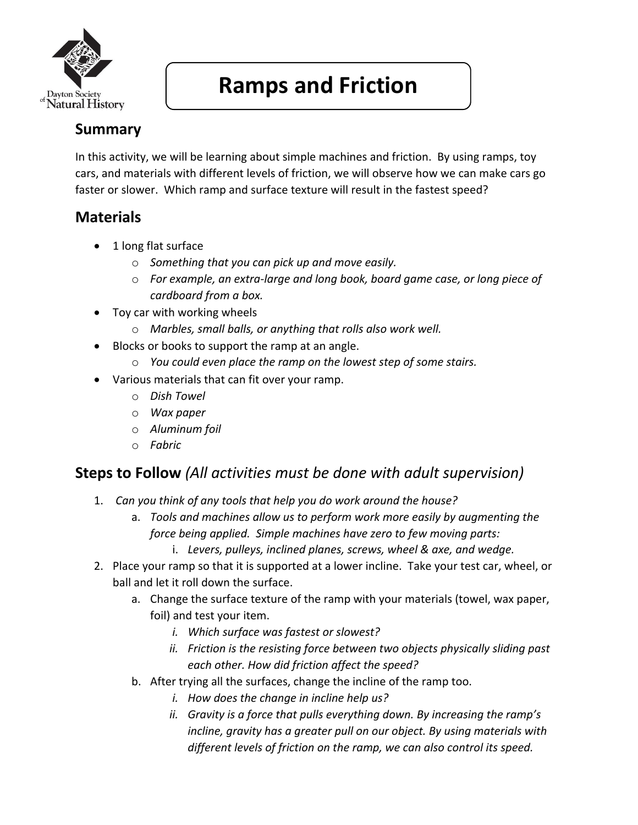

# **Ramps and Friction**

# **Summary**

In this activity, we will be learning about simple machines and friction. By using ramps, toy cars, and materials with different levels of friction, we will observe how we can make cars go faster or slower. Which ramp and surface texture will result in the fastest speed?

### **Materials**

- 1 long flat surface
	- o *Something that you can pick up and move easily.*
	- o *For example, an extra-large and long book, board game case, or long piece of cardboard from a box.*
- Toy car with working wheels
	- o *Marbles, small balls, or anything that rolls also work well.*
- Blocks or books to support the ramp at an angle.
	- o *You could even place the ramp on the lowest step of some stairs.*
- Various materials that can fit over your ramp.
	- o *Dish Towel*
	- o *Wax paper*
	- o *Aluminum foil*
	- o *Fabric*

### **Steps to Follow** *(All activities must be done with adult supervision)*

- 1. *Can you think of any tools that help you do work around the house?*
	- a. *Tools and machines allow us to perform work more easily by augmenting the force being applied. Simple machines have zero to few moving parts:*
		- i. *Levers, pulleys, inclined planes, screws, wheel & axe, and wedge.*
- 2. Place your ramp so that it is supported at a lower incline. Take your test car, wheel, or ball and let it roll down the surface.
	- a. Change the surface texture of the ramp with your materials (towel, wax paper, foil) and test your item.
		- *i. Which surface was fastest or slowest?*
		- *ii. Friction is the resisting force between two objects physically sliding past each other. How did friction affect the speed?*
	- b. After trying all the surfaces, change the incline of the ramp too.
		- *i. How does the change in incline help us?*
		- *ii. Gravity is a force that pulls everything down. By increasing the ramp's incline, gravity has a greater pull on our object. By using materials with different levels of friction on the ramp, we can also control its speed.*